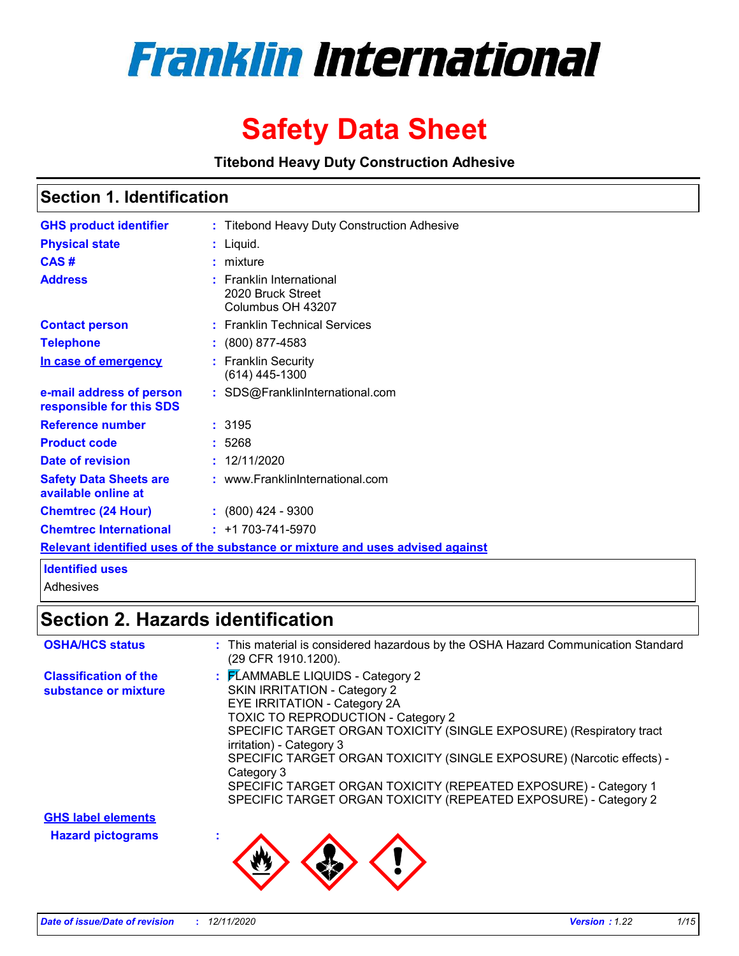

# **Safety Data Sheet**

**Titebond Heavy Duty Construction Adhesive**

### **Section 1. Identification**

| <b>GHS product identifier</b>                        | : Titebond Heavy Duty Construction Adhesive                                   |
|------------------------------------------------------|-------------------------------------------------------------------------------|
| <b>Physical state</b>                                | : Liquid.                                                                     |
| CAS#                                                 | $:$ mixture                                                                   |
| <b>Address</b>                                       | <b>Franklin International</b><br>2020 Bruck Street<br>Columbus OH 43207       |
| <b>Contact person</b>                                | : Franklin Technical Services                                                 |
| <b>Telephone</b>                                     | $\div$ (800) 877-4583                                                         |
| In case of emergency                                 | : Franklin Security<br>(614) 445-1300                                         |
| e-mail address of person<br>responsible for this SDS | : SDS@FranklinInternational.com                                               |
| <b>Reference number</b>                              | : 3195                                                                        |
| <b>Product code</b>                                  | : 5268                                                                        |
| Date of revision                                     | : 12/11/2020                                                                  |
| <b>Safety Data Sheets are</b><br>available online at | : www.FranklinInternational.com                                               |
| <b>Chemtrec (24 Hour)</b>                            | $\div$ (800) 424 - 9300                                                       |
| <b>Chemtrec International</b>                        | $: +1703 - 741 - 5970$                                                        |
|                                                      | Relevant identified uses of the substance or mixture and uses advised against |

### **Identified uses**

Adhesives

## **Section 2. Hazards identification**

| <b>OSHA/HCS status</b>                                | : This material is considered hazardous by the OSHA Hazard Communication Standard<br>(29 CFR 1910.1200).                                                                                                                                                                                                                                                                                                                                                                             |
|-------------------------------------------------------|--------------------------------------------------------------------------------------------------------------------------------------------------------------------------------------------------------------------------------------------------------------------------------------------------------------------------------------------------------------------------------------------------------------------------------------------------------------------------------------|
| <b>Classification of the</b><br>substance or mixture  | : FLAMMABLE LIQUIDS - Category 2<br><b>SKIN IRRITATION - Category 2</b><br>EYE IRRITATION - Category 2A<br><b>TOXIC TO REPRODUCTION - Category 2</b><br>SPECIFIC TARGET ORGAN TOXICITY (SINGLE EXPOSURE) (Respiratory tract<br>irritation) - Category 3<br>SPECIFIC TARGET ORGAN TOXICITY (SINGLE EXPOSURE) (Narcotic effects) -<br>Category 3<br>SPECIFIC TARGET ORGAN TOXICITY (REPEATED EXPOSURE) - Category 1<br>SPECIFIC TARGET ORGAN TOXICITY (REPEATED EXPOSURE) - Category 2 |
| <b>GHS label elements</b><br><b>Hazard pictograms</b> |                                                                                                                                                                                                                                                                                                                                                                                                                                                                                      |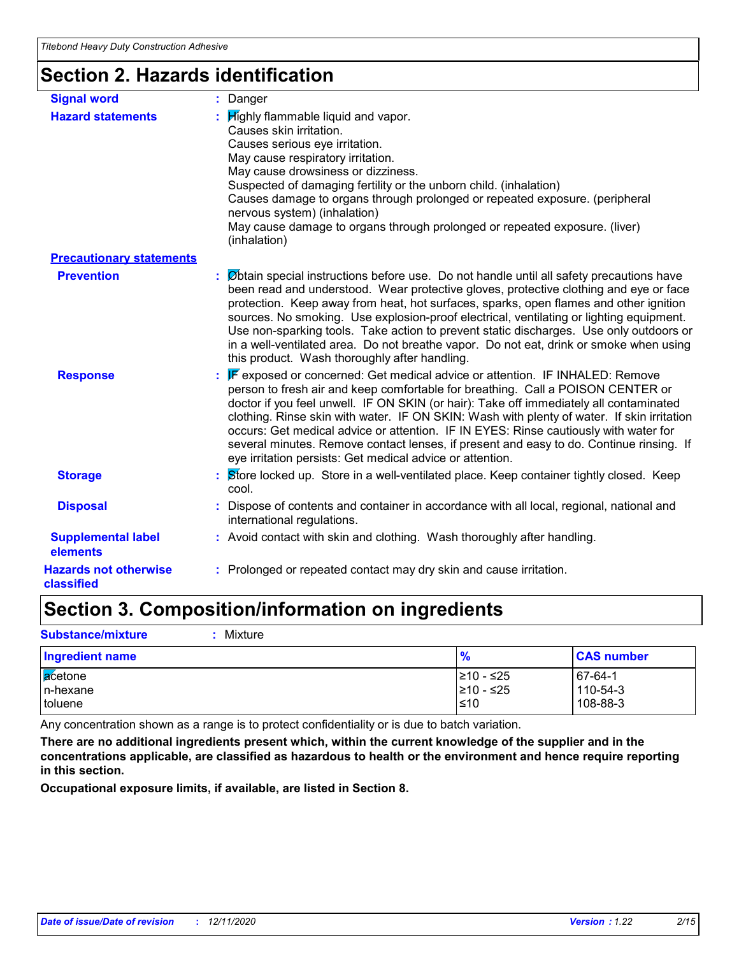# **Section 2. Hazards identification**

| <b>Signal word</b>                         | : Danger                                                                                                                                                                                                                                                                                                                                                                                                                                                                                                                                                                                                    |
|--------------------------------------------|-------------------------------------------------------------------------------------------------------------------------------------------------------------------------------------------------------------------------------------------------------------------------------------------------------------------------------------------------------------------------------------------------------------------------------------------------------------------------------------------------------------------------------------------------------------------------------------------------------------|
| <b>Hazard statements</b>                   | : Highly flammable liquid and vapor.<br>Causes skin irritation.<br>Causes serious eye irritation.<br>May cause respiratory irritation.<br>May cause drowsiness or dizziness.<br>Suspected of damaging fertility or the unborn child. (inhalation)<br>Causes damage to organs through prolonged or repeated exposure. (peripheral<br>nervous system) (inhalation)<br>May cause damage to organs through prolonged or repeated exposure. (liver)<br>(inhalation)                                                                                                                                              |
| <b>Precautionary statements</b>            |                                                                                                                                                                                                                                                                                                                                                                                                                                                                                                                                                                                                             |
| <b>Prevention</b>                          | : Øbtain special instructions before use. Do not handle until all safety precautions have<br>been read and understood. Wear protective gloves, protective clothing and eye or face<br>protection. Keep away from heat, hot surfaces, sparks, open flames and other ignition<br>sources. No smoking. Use explosion-proof electrical, ventilating or lighting equipment.<br>Use non-sparking tools. Take action to prevent static discharges. Use only outdoors or<br>in a well-ventilated area. Do not breathe vapor. Do not eat, drink or smoke when using<br>this product. Wash thoroughly after handling. |
| <b>Response</b>                            | : F exposed or concerned: Get medical advice or attention. IF INHALED: Remove<br>person to fresh air and keep comfortable for breathing. Call a POISON CENTER or<br>doctor if you feel unwell. IF ON SKIN (or hair): Take off immediately all contaminated<br>clothing. Rinse skin with water. IF ON SKIN: Wash with plenty of water. If skin irritation<br>occurs: Get medical advice or attention. IF IN EYES: Rinse cautiously with water for<br>several minutes. Remove contact lenses, if present and easy to do. Continue rinsing. If<br>eye irritation persists: Get medical advice or attention.    |
| <b>Storage</b>                             | : Store locked up. Store in a well-ventilated place. Keep container tightly closed. Keep<br>cool.                                                                                                                                                                                                                                                                                                                                                                                                                                                                                                           |
| <b>Disposal</b>                            | : Dispose of contents and container in accordance with all local, regional, national and<br>international regulations.                                                                                                                                                                                                                                                                                                                                                                                                                                                                                      |
| <b>Supplemental label</b><br>elements      | : Avoid contact with skin and clothing. Wash thoroughly after handling.                                                                                                                                                                                                                                                                                                                                                                                                                                                                                                                                     |
| <b>Hazards not otherwise</b><br>classified | : Prolonged or repeated contact may dry skin and cause irritation.                                                                                                                                                                                                                                                                                                                                                                                                                                                                                                                                          |

# **Section 3. Composition/information on ingredients**

**Substance/mixture :** Mixture

| <b>Ingredient name</b> | $\frac{9}{6}$           | <b>CAS number</b>   |
|------------------------|-------------------------|---------------------|
| acetone<br>In-hexane   | 210 - ≤25<br>210 - ≤25∣ | 67-64-1<br>110-54-3 |
| toluene                | ≤10                     | 108-88-3            |

Any concentration shown as a range is to protect confidentiality or is due to batch variation.

**There are no additional ingredients present which, within the current knowledge of the supplier and in the concentrations applicable, are classified as hazardous to health or the environment and hence require reporting in this section.**

**Occupational exposure limits, if available, are listed in Section 8.**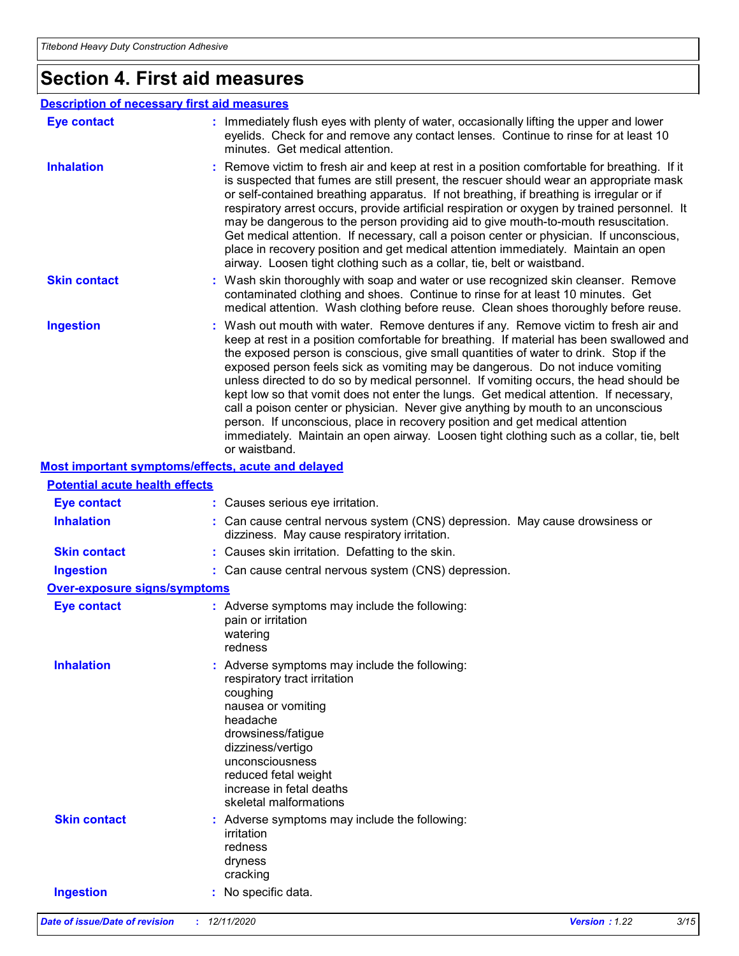# **Section 4. First aid measures**

| <b>Description of necessary first aid measures</b> |                                                                                                                                                                                                                                                                                                                                                                                                                                                                                                                                                                                                                                                                                                                                                                                                                               |
|----------------------------------------------------|-------------------------------------------------------------------------------------------------------------------------------------------------------------------------------------------------------------------------------------------------------------------------------------------------------------------------------------------------------------------------------------------------------------------------------------------------------------------------------------------------------------------------------------------------------------------------------------------------------------------------------------------------------------------------------------------------------------------------------------------------------------------------------------------------------------------------------|
| <b>Eye contact</b>                                 | : Immediately flush eyes with plenty of water, occasionally lifting the upper and lower<br>eyelids. Check for and remove any contact lenses. Continue to rinse for at least 10<br>minutes. Get medical attention.                                                                                                                                                                                                                                                                                                                                                                                                                                                                                                                                                                                                             |
| <b>Inhalation</b>                                  | : Remove victim to fresh air and keep at rest in a position comfortable for breathing. If it<br>is suspected that fumes are still present, the rescuer should wear an appropriate mask<br>or self-contained breathing apparatus. If not breathing, if breathing is irregular or if<br>respiratory arrest occurs, provide artificial respiration or oxygen by trained personnel. It<br>may be dangerous to the person providing aid to give mouth-to-mouth resuscitation.<br>Get medical attention. If necessary, call a poison center or physician. If unconscious,<br>place in recovery position and get medical attention immediately. Maintain an open<br>airway. Loosen tight clothing such as a collar, tie, belt or waistband.                                                                                          |
| <b>Skin contact</b>                                | : Wash skin thoroughly with soap and water or use recognized skin cleanser. Remove<br>contaminated clothing and shoes. Continue to rinse for at least 10 minutes. Get<br>medical attention. Wash clothing before reuse. Clean shoes thoroughly before reuse.                                                                                                                                                                                                                                                                                                                                                                                                                                                                                                                                                                  |
| <b>Ingestion</b>                                   | : Wash out mouth with water. Remove dentures if any. Remove victim to fresh air and<br>keep at rest in a position comfortable for breathing. If material has been swallowed and<br>the exposed person is conscious, give small quantities of water to drink. Stop if the<br>exposed person feels sick as vomiting may be dangerous. Do not induce vomiting<br>unless directed to do so by medical personnel. If vomiting occurs, the head should be<br>kept low so that vomit does not enter the lungs. Get medical attention. If necessary,<br>call a poison center or physician. Never give anything by mouth to an unconscious<br>person. If unconscious, place in recovery position and get medical attention<br>immediately. Maintain an open airway. Loosen tight clothing such as a collar, tie, belt<br>or waistband. |
| Most important symptoms/effects, acute and delayed |                                                                                                                                                                                                                                                                                                                                                                                                                                                                                                                                                                                                                                                                                                                                                                                                                               |
| <b>Potential acute health effects</b>              |                                                                                                                                                                                                                                                                                                                                                                                                                                                                                                                                                                                                                                                                                                                                                                                                                               |

### **Inhalation <b>:** Can cause central nervous system (CNS) depression. May cause drowsiness or dizziness. May cause respiratory irritation. **Ingestion :** Can cause central nervous system (CNS) depression. **Skin contact :** Causes skin irritation. Defatting to the skin. **Eye contact :** Causes serious eye irritation.

### **Over-exposure signs/symptoms**

| <b>Eye contact</b>  | : Adverse symptoms may include the following:<br>pain or irritation<br>watering<br>redness                                                                                                                                                                              |
|---------------------|-------------------------------------------------------------------------------------------------------------------------------------------------------------------------------------------------------------------------------------------------------------------------|
| <b>Inhalation</b>   | : Adverse symptoms may include the following:<br>respiratory tract irritation<br>coughing<br>nausea or vomiting<br>headache<br>drowsiness/fatigue<br>dizziness/vertigo<br>unconsciousness<br>reduced fetal weight<br>increase in fetal deaths<br>skeletal malformations |
| <b>Skin contact</b> | : Adverse symptoms may include the following:<br>irritation<br>redness<br>dryness<br>cracking                                                                                                                                                                           |
| <b>Ingestion</b>    | No specific data.                                                                                                                                                                                                                                                       |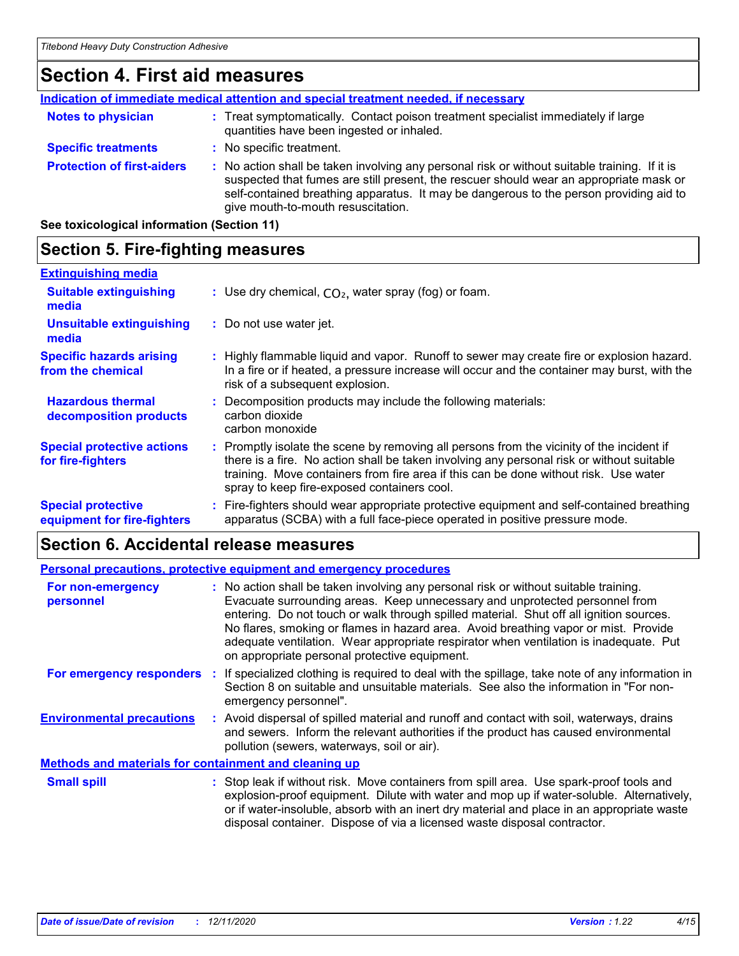## **Section 4. First aid measures**

| Indication of immediate medical attention and special treatment needed, if necessary |  |                                                                                                                                                                                                                                                                                                                         |
|--------------------------------------------------------------------------------------|--|-------------------------------------------------------------------------------------------------------------------------------------------------------------------------------------------------------------------------------------------------------------------------------------------------------------------------|
| <b>Notes to physician</b>                                                            |  | : Treat symptomatically. Contact poison treatment specialist immediately if large<br>quantities have been ingested or inhaled.                                                                                                                                                                                          |
| <b>Specific treatments</b>                                                           |  | : No specific treatment.                                                                                                                                                                                                                                                                                                |
| <b>Protection of first-aiders</b>                                                    |  | : No action shall be taken involving any personal risk or without suitable training. If it is<br>suspected that fumes are still present, the rescuer should wear an appropriate mask or<br>self-contained breathing apparatus. It may be dangerous to the person providing aid to<br>give mouth-to-mouth resuscitation. |
|                                                                                      |  |                                                                                                                                                                                                                                                                                                                         |

**See toxicological information (Section 11)**

## **Section 5. Fire-fighting measures**

| <b>Extinguishing media</b>                               |                                                                                                                                                                                                                                                                                                                               |
|----------------------------------------------------------|-------------------------------------------------------------------------------------------------------------------------------------------------------------------------------------------------------------------------------------------------------------------------------------------------------------------------------|
| <b>Suitable extinguishing</b><br>media                   | : Use dry chemical, $CO2$ , water spray (fog) or foam.                                                                                                                                                                                                                                                                        |
| <b>Unsuitable extinguishing</b><br>media                 | : Do not use water jet.                                                                                                                                                                                                                                                                                                       |
| <b>Specific hazards arising</b><br>from the chemical     | : Highly flammable liquid and vapor. Runoff to sewer may create fire or explosion hazard.<br>In a fire or if heated, a pressure increase will occur and the container may burst, with the<br>risk of a subsequent explosion.                                                                                                  |
| <b>Hazardous thermal</b><br>decomposition products       | : Decomposition products may include the following materials:<br>carbon dioxide<br>carbon monoxide                                                                                                                                                                                                                            |
| <b>Special protective actions</b><br>for fire-fighters   | : Promptly isolate the scene by removing all persons from the vicinity of the incident if<br>there is a fire. No action shall be taken involving any personal risk or without suitable<br>training. Move containers from fire area if this can be done without risk. Use water<br>spray to keep fire-exposed containers cool. |
| <b>Special protective</b><br>equipment for fire-fighters | Fire-fighters should wear appropriate protective equipment and self-contained breathing<br>apparatus (SCBA) with a full face-piece operated in positive pressure mode.                                                                                                                                                        |

# **Section 6. Accidental release measures**

| Personal precautions, protective equipment and emergency procedures |  |                                                                                                                                                                                                                                                                                                                                                                                                                                                                                                 |
|---------------------------------------------------------------------|--|-------------------------------------------------------------------------------------------------------------------------------------------------------------------------------------------------------------------------------------------------------------------------------------------------------------------------------------------------------------------------------------------------------------------------------------------------------------------------------------------------|
| For non-emergency<br>personnel                                      |  | : No action shall be taken involving any personal risk or without suitable training.<br>Evacuate surrounding areas. Keep unnecessary and unprotected personnel from<br>entering. Do not touch or walk through spilled material. Shut off all ignition sources.<br>No flares, smoking or flames in hazard area. Avoid breathing vapor or mist. Provide<br>adequate ventilation. Wear appropriate respirator when ventilation is inadequate. Put<br>on appropriate personal protective equipment. |
| For emergency responders                                            |  | If specialized clothing is required to deal with the spillage, take note of any information in<br>Section 8 on suitable and unsuitable materials. See also the information in "For non-<br>emergency personnel".                                                                                                                                                                                                                                                                                |
| <b>Environmental precautions</b>                                    |  | : Avoid dispersal of spilled material and runoff and contact with soil, waterways, drains<br>and sewers. Inform the relevant authorities if the product has caused environmental<br>pollution (sewers, waterways, soil or air).                                                                                                                                                                                                                                                                 |
| Methods and materials for containment and cleaning up               |  |                                                                                                                                                                                                                                                                                                                                                                                                                                                                                                 |
| <b>Small spill</b>                                                  |  | : Stop leak if without risk. Move containers from spill area. Use spark-proof tools and<br>explosion proof equipment. Dilute with water and men up if water soluble. Alternatively                                                                                                                                                                                                                                                                                                              |

explosion-proof equipment. Dilute with water and mop up if water-soluble. Alternatively, or if water-insoluble, absorb with an inert dry material and place in an appropriate waste disposal container. Dispose of via a licensed waste disposal contractor.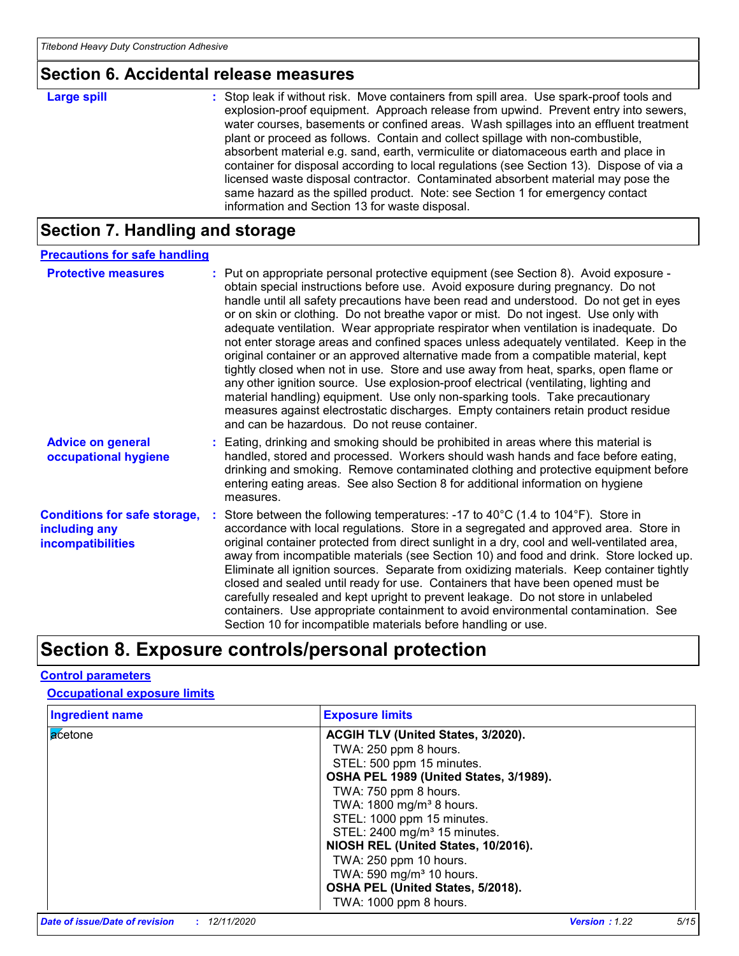### **Section 6. Accidental release measures**

| <b>Large spill</b> | : Stop leak if without risk. Move containers from spill area. Use spark-proof tools and<br>explosion-proof equipment. Approach release from upwind. Prevent entry into sewers,<br>water courses, basements or confined areas. Wash spillages into an effluent treatment<br>plant or proceed as follows. Contain and collect spillage with non-combustible,<br>absorbent material e.g. sand, earth, vermiculite or diatomaceous earth and place in<br>container for disposal according to local regulations (see Section 13). Dispose of via a<br>licensed waste disposal contractor. Contaminated absorbent material may pose the |
|--------------------|-----------------------------------------------------------------------------------------------------------------------------------------------------------------------------------------------------------------------------------------------------------------------------------------------------------------------------------------------------------------------------------------------------------------------------------------------------------------------------------------------------------------------------------------------------------------------------------------------------------------------------------|
|                    | same hazard as the spilled product. Note: see Section 1 for emergency contact<br>information and Section 13 for waste disposal.                                                                                                                                                                                                                                                                                                                                                                                                                                                                                                   |

# **Section 7. Handling and storage**

| <b>Precautions for safe handling</b>                                             |                                                                                                                                                                                                                                                                                                                                                                                                                                                                                                                                                                                                                                                                                                                                                                                                                                                                                                                                                                                                                                       |
|----------------------------------------------------------------------------------|---------------------------------------------------------------------------------------------------------------------------------------------------------------------------------------------------------------------------------------------------------------------------------------------------------------------------------------------------------------------------------------------------------------------------------------------------------------------------------------------------------------------------------------------------------------------------------------------------------------------------------------------------------------------------------------------------------------------------------------------------------------------------------------------------------------------------------------------------------------------------------------------------------------------------------------------------------------------------------------------------------------------------------------|
| <b>Protective measures</b>                                                       | : Put on appropriate personal protective equipment (see Section 8). Avoid exposure -<br>obtain special instructions before use. Avoid exposure during pregnancy. Do not<br>handle until all safety precautions have been read and understood. Do not get in eyes<br>or on skin or clothing. Do not breathe vapor or mist. Do not ingest. Use only with<br>adequate ventilation. Wear appropriate respirator when ventilation is inadequate. Do<br>not enter storage areas and confined spaces unless adequately ventilated. Keep in the<br>original container or an approved alternative made from a compatible material, kept<br>tightly closed when not in use. Store and use away from heat, sparks, open flame or<br>any other ignition source. Use explosion-proof electrical (ventilating, lighting and<br>material handling) equipment. Use only non-sparking tools. Take precautionary<br>measures against electrostatic discharges. Empty containers retain product residue<br>and can be hazardous. Do not reuse container. |
| <b>Advice on general</b><br>occupational hygiene                                 | : Eating, drinking and smoking should be prohibited in areas where this material is<br>handled, stored and processed. Workers should wash hands and face before eating,<br>drinking and smoking. Remove contaminated clothing and protective equipment before<br>entering eating areas. See also Section 8 for additional information on hygiene<br>measures.                                                                                                                                                                                                                                                                                                                                                                                                                                                                                                                                                                                                                                                                         |
| <b>Conditions for safe storage,</b><br>including any<br><b>incompatibilities</b> | Store between the following temperatures: -17 to 40 $^{\circ}$ C (1.4 to 104 $^{\circ}$ F). Store in<br>accordance with local regulations. Store in a segregated and approved area. Store in<br>original container protected from direct sunlight in a dry, cool and well-ventilated area,<br>away from incompatible materials (see Section 10) and food and drink. Store locked up.<br>Eliminate all ignition sources. Separate from oxidizing materials. Keep container tightly<br>closed and sealed until ready for use. Containers that have been opened must be<br>carefully resealed and kept upright to prevent leakage. Do not store in unlabeled<br>containers. Use appropriate containment to avoid environmental contamination. See<br>Section 10 for incompatible materials before handling or use.                                                                                                                                                                                                                       |

# **Section 8. Exposure controls/personal protection**

### **Control parameters**

### **Occupational exposure limits**

| <b>Ingredient name</b> | <b>Exposure limits</b>                   |
|------------------------|------------------------------------------|
| acetone                | ACGIH TLV (United States, 3/2020).       |
|                        | TWA: 250 ppm 8 hours.                    |
|                        | STEL: 500 ppm 15 minutes.                |
|                        | OSHA PEL 1989 (United States, 3/1989).   |
|                        | TWA: 750 ppm 8 hours.                    |
|                        | TWA: 1800 mg/m <sup>3</sup> 8 hours.     |
|                        | STEL: 1000 ppm 15 minutes.               |
|                        | STEL: 2400 mg/m <sup>3</sup> 15 minutes. |
|                        | NIOSH REL (United States, 10/2016).      |
|                        | TWA: 250 ppm 10 hours.                   |
|                        | TWA: 590 mg/m <sup>3</sup> 10 hours.     |
|                        | OSHA PEL (United States, 5/2018).        |
|                        | TWA: 1000 ppm 8 hours.                   |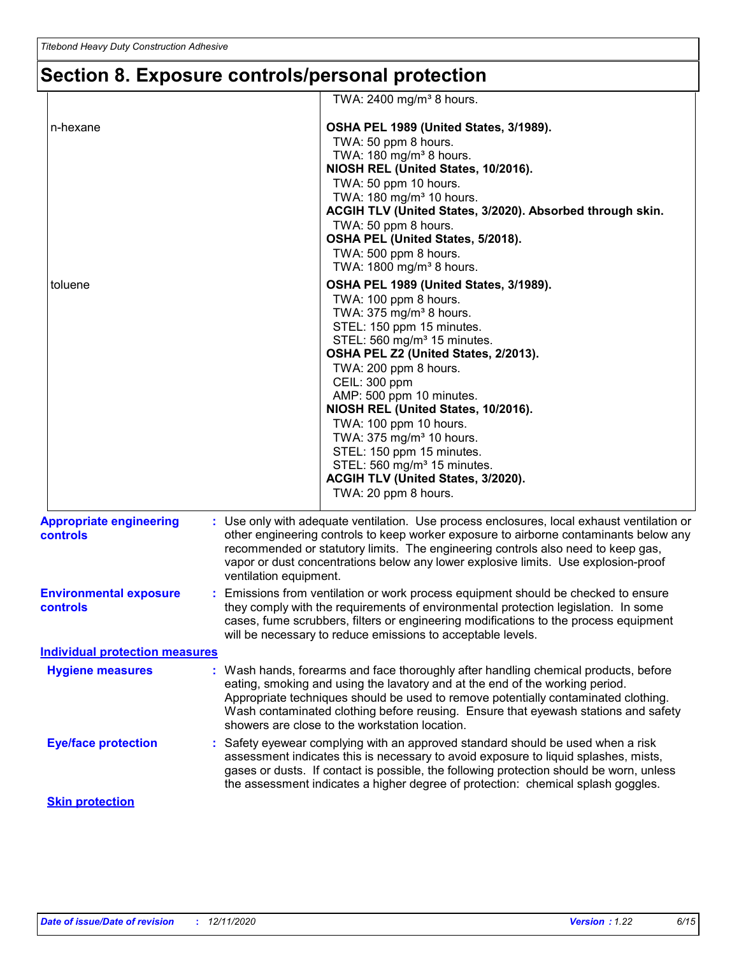# **Section 8. Exposure controls/personal protection**

|                                            | TWA: $2400$ mg/m <sup>3</sup> 8 hours.                                                                                                                                                                                                                                                                                                                                                                                                                                                                                                      |  |  |
|--------------------------------------------|---------------------------------------------------------------------------------------------------------------------------------------------------------------------------------------------------------------------------------------------------------------------------------------------------------------------------------------------------------------------------------------------------------------------------------------------------------------------------------------------------------------------------------------------|--|--|
| n-hexane                                   | OSHA PEL 1989 (United States, 3/1989).<br>TWA: 50 ppm 8 hours.<br>TWA: 180 mg/m <sup>3</sup> 8 hours.<br>NIOSH REL (United States, 10/2016).                                                                                                                                                                                                                                                                                                                                                                                                |  |  |
|                                            | TWA: 50 ppm 10 hours.<br>TWA: 180 mg/m <sup>3</sup> 10 hours.<br>ACGIH TLV (United States, 3/2020). Absorbed through skin.<br>TWA: 50 ppm 8 hours.<br>OSHA PEL (United States, 5/2018).<br>TWA: 500 ppm 8 hours.<br>TWA: 1800 mg/m <sup>3</sup> 8 hours.                                                                                                                                                                                                                                                                                    |  |  |
| toluene                                    | OSHA PEL 1989 (United States, 3/1989).<br>TWA: 100 ppm 8 hours.<br>TWA: 375 mg/m <sup>3</sup> 8 hours.<br>STEL: 150 ppm 15 minutes.<br>STEL: 560 mg/m <sup>3</sup> 15 minutes.<br>OSHA PEL Z2 (United States, 2/2013).<br>TWA: 200 ppm 8 hours.<br>CEIL: 300 ppm<br>AMP: 500 ppm 10 minutes.<br>NIOSH REL (United States, 10/2016).<br>TWA: 100 ppm 10 hours.<br>TWA: 375 mg/m <sup>3</sup> 10 hours.<br>STEL: 150 ppm 15 minutes.<br>STEL: 560 mg/m <sup>3</sup> 15 minutes.<br>ACGIH TLV (United States, 3/2020).<br>TWA: 20 ppm 8 hours. |  |  |
| <b>Appropriate engineering</b><br>controls | : Use only with adequate ventilation. Use process enclosures, local exhaust ventilation or<br>other engineering controls to keep worker exposure to airborne contaminants below any<br>recommended or statutory limits. The engineering controls also need to keep gas,<br>vapor or dust concentrations below any lower explosive limits. Use explosion-proof<br>ventilation equipment.                                                                                                                                                     |  |  |
| <b>Environmental exposure</b><br>controls  | : Emissions from ventilation or work process equipment should be checked to ensure<br>they comply with the requirements of environmental protection legislation. In some<br>cases, fume scrubbers, filters or engineering modifications to the process equipment<br>will be necessary to reduce emissions to acceptable levels.                                                                                                                                                                                                             |  |  |
| <b>Individual protection measures</b>      |                                                                                                                                                                                                                                                                                                                                                                                                                                                                                                                                             |  |  |
| <b>Hygiene measures</b>                    | : Wash hands, forearms and face thoroughly after handling chemical products, before<br>eating, smoking and using the lavatory and at the end of the working period.<br>Appropriate techniques should be used to remove potentially contaminated clothing.<br>Wash contaminated clothing before reusing. Ensure that eyewash stations and safety<br>showers are close to the workstation location.                                                                                                                                           |  |  |
| <b>Eye/face protection</b>                 | : Safety eyewear complying with an approved standard should be used when a risk<br>assessment indicates this is necessary to avoid exposure to liquid splashes, mists,<br>gases or dusts. If contact is possible, the following protection should be worn, unless<br>the assessment indicates a higher degree of protection: chemical splash goggles.                                                                                                                                                                                       |  |  |
| <b>Skin protection</b>                     |                                                                                                                                                                                                                                                                                                                                                                                                                                                                                                                                             |  |  |
|                                            |                                                                                                                                                                                                                                                                                                                                                                                                                                                                                                                                             |  |  |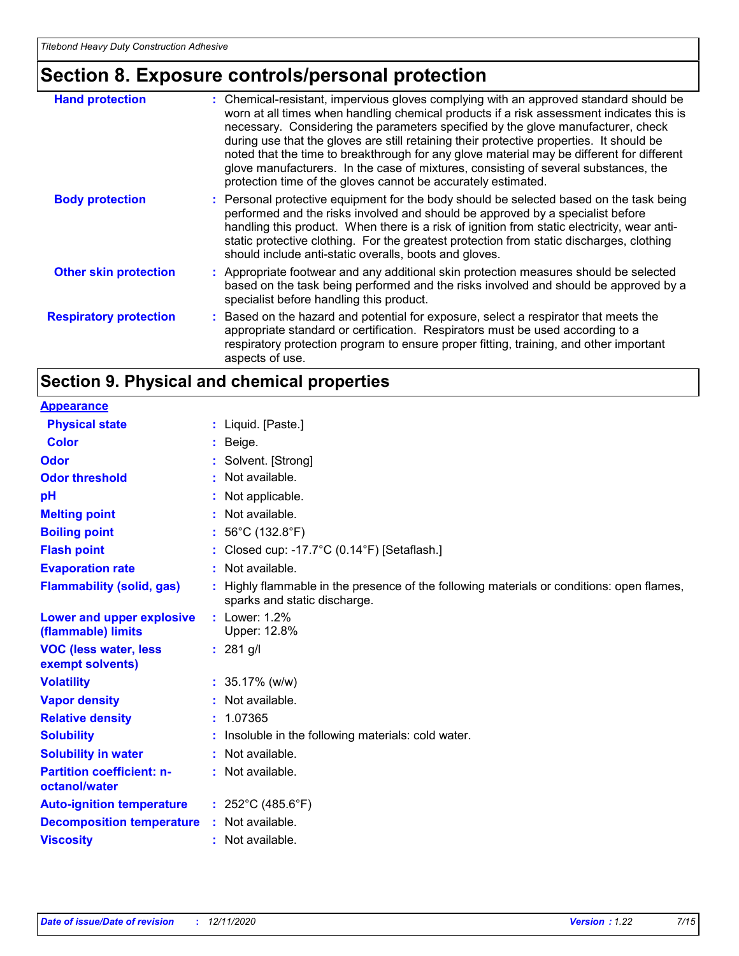# **Section 8. Exposure controls/personal protection**

| <b>Hand protection</b>        | : Chemical-resistant, impervious gloves complying with an approved standard should be<br>worn at all times when handling chemical products if a risk assessment indicates this is<br>necessary. Considering the parameters specified by the glove manufacturer, check<br>during use that the gloves are still retaining their protective properties. It should be<br>noted that the time to breakthrough for any glove material may be different for different<br>glove manufacturers. In the case of mixtures, consisting of several substances, the<br>protection time of the gloves cannot be accurately estimated. |
|-------------------------------|------------------------------------------------------------------------------------------------------------------------------------------------------------------------------------------------------------------------------------------------------------------------------------------------------------------------------------------------------------------------------------------------------------------------------------------------------------------------------------------------------------------------------------------------------------------------------------------------------------------------|
| <b>Body protection</b>        | : Personal protective equipment for the body should be selected based on the task being<br>performed and the risks involved and should be approved by a specialist before<br>handling this product. When there is a risk of ignition from static electricity, wear anti-<br>static protective clothing. For the greatest protection from static discharges, clothing<br>should include anti-static overalls, boots and gloves.                                                                                                                                                                                         |
| <b>Other skin protection</b>  | : Appropriate footwear and any additional skin protection measures should be selected<br>based on the task being performed and the risks involved and should be approved by a<br>specialist before handling this product.                                                                                                                                                                                                                                                                                                                                                                                              |
| <b>Respiratory protection</b> | : Based on the hazard and potential for exposure, select a respirator that meets the<br>appropriate standard or certification. Respirators must be used according to a<br>respiratory protection program to ensure proper fitting, training, and other important<br>aspects of use.                                                                                                                                                                                                                                                                                                                                    |

# **Section 9. Physical and chemical properties**

| <b>Appearance</b>                                 |                                                                                                                         |
|---------------------------------------------------|-------------------------------------------------------------------------------------------------------------------------|
| <b>Physical state</b>                             | $:$ Liquid. [Paste.]                                                                                                    |
| <b>Color</b>                                      | : Beige.                                                                                                                |
| <b>Odor</b>                                       | : Solvent. [Strong]                                                                                                     |
| <b>Odor threshold</b>                             | $\cdot$ Not available.                                                                                                  |
| рH                                                | Not applicable.                                                                                                         |
| <b>Melting point</b>                              | : Not available.                                                                                                        |
| <b>Boiling point</b>                              | : $56^{\circ}$ C (132.8 $^{\circ}$ F)                                                                                   |
| <b>Flash point</b>                                | Closed cup: -17.7°C (0.14°F) [Setaflash.]                                                                               |
| <b>Evaporation rate</b>                           | : Not available.                                                                                                        |
| <b>Flammability (solid, gas)</b>                  | Highly flammable in the presence of the following materials or conditions: open flames,<br>sparks and static discharge. |
| Lower and upper explosive<br>(flammable) limits   | $:$ Lower: 1.2%<br>Upper: 12.8%                                                                                         |
| <b>VOC (less water, less</b><br>exempt solvents)  | $: 281$ g/l                                                                                                             |
| <b>Volatility</b>                                 | : $35.17\%$ (w/w)                                                                                                       |
| <b>Vapor density</b>                              | : Not available.                                                                                                        |
| <b>Relative density</b>                           | : 1.07365                                                                                                               |
| <b>Solubility</b>                                 | : Insoluble in the following materials: cold water.                                                                     |
| <b>Solubility in water</b>                        | : Not available.                                                                                                        |
| <b>Partition coefficient: n-</b><br>octanol/water | : Not available.                                                                                                        |
| <b>Auto-ignition temperature</b>                  | : $252^{\circ}$ C (485.6 $^{\circ}$ F)                                                                                  |
| <b>Decomposition temperature</b>                  | : Not available.                                                                                                        |
| <b>Viscosity</b>                                  | : Not available.                                                                                                        |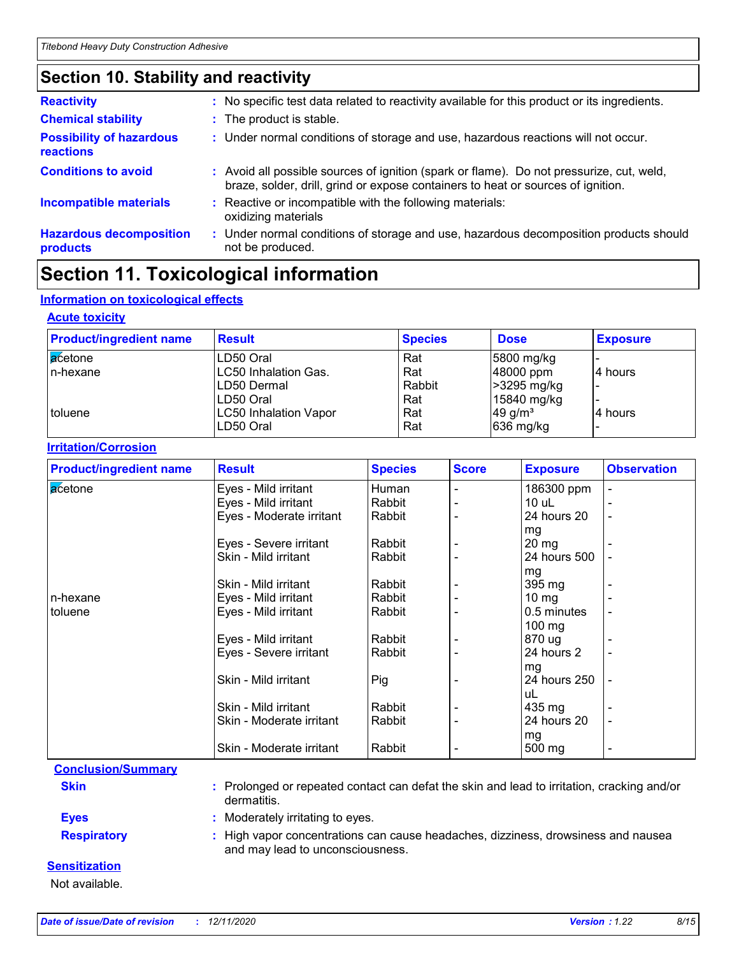## **Section 10. Stability and reactivity**

| <b>Reactivity</b>                                   |    | : No specific test data related to reactivity available for this product or its ingredients.                                                                                 |
|-----------------------------------------------------|----|------------------------------------------------------------------------------------------------------------------------------------------------------------------------------|
| <b>Chemical stability</b>                           |    | : The product is stable.                                                                                                                                                     |
| <b>Possibility of hazardous</b><br><b>reactions</b> |    | : Under normal conditions of storage and use, hazardous reactions will not occur.                                                                                            |
| <b>Conditions to avoid</b>                          |    | : Avoid all possible sources of ignition (spark or flame). Do not pressurize, cut, weld,<br>braze, solder, drill, grind or expose containers to heat or sources of ignition. |
| <b>Incompatible materials</b>                       |    | : Reactive or incompatible with the following materials:<br>oxidizing materials                                                                                              |
| <b>Hazardous decomposition</b><br>products          | ÷. | Under normal conditions of storage and use, hazardous decomposition products should<br>not be produced.                                                                      |

# **Section 11. Toxicological information**

### **Information on toxicological effects**

### **Acute toxicity**

| <b>Product/ingredient name</b> | <b>Result</b>                | <b>Species</b> | <b>Dose</b>           | <b>Exposure</b> |
|--------------------------------|------------------------------|----------------|-----------------------|-----------------|
| acetone                        | LD50 Oral                    | Rat            | 5800 mg/kg            |                 |
| In-hexane                      | <b>LC50 Inhalation Gas.</b>  | Rat            | 48000 ppm             | 4 hours         |
|                                | LD50 Dermal                  | Rabbit         | >3295 mg/kg           |                 |
|                                | LD50 Oral                    | Rat            | 15840 mg/kg           |                 |
| toluene                        | <b>LC50 Inhalation Vapor</b> | Rat            | $49$ g/m <sup>3</sup> | 4 hours         |
|                                | LD50 Oral                    | Rat            | 636 mg/kg             |                 |

### **Irritation/Corrosion**

| <b>Product/ingredient name</b> | <b>Result</b>            | <b>Species</b> | <b>Score</b> | <b>Exposure</b>   | <b>Observation</b>       |
|--------------------------------|--------------------------|----------------|--------------|-------------------|--------------------------|
| <b>a</b> cetone                | Eyes - Mild irritant     | Human          |              | 186300 ppm        | $\overline{a}$           |
|                                | Eyes - Mild irritant     | Rabbit         |              | 10 uL             |                          |
|                                | Eyes - Moderate irritant | Rabbit         |              | 24 hours 20       |                          |
|                                |                          |                |              | mg                |                          |
|                                | Eyes - Severe irritant   | Rabbit         |              | $20 \, mg$        |                          |
|                                | Skin - Mild irritant     | Rabbit         |              | 24 hours 500      |                          |
|                                |                          |                |              | mg                |                          |
|                                | Skin - Mild irritant     | Rabbit         |              | 395 mg            |                          |
| l n-hexane                     | Eyes - Mild irritant     | Rabbit         |              | $10 \, \text{mg}$ |                          |
| l toluene                      | Eyes - Mild irritant     | Rabbit         |              | 0.5 minutes       |                          |
|                                |                          |                |              | $100 \text{ mg}$  |                          |
|                                | Eyes - Mild irritant     | Rabbit         |              | 870 ug            |                          |
|                                | Eyes - Severe irritant   | Rabbit         |              | 24 hours 2        |                          |
|                                |                          |                |              | mg                |                          |
|                                | Skin - Mild irritant     | Pig            |              | 24 hours 250      |                          |
|                                |                          |                |              | uL                |                          |
|                                | Skin - Mild irritant     | Rabbit         |              | 435 mg            |                          |
|                                | Skin - Moderate irritant | Rabbit         |              | 24 hours 20       | $\blacksquare$           |
|                                |                          |                |              | mg                |                          |
|                                | Skin - Moderate irritant | Rabbit         |              | 500 mg            | $\overline{\phantom{0}}$ |

### **Conclusion/Summary**

**Skin :** Prolonged or repeated contact can defat the skin and lead to irritation, cracking and/or dermatitis.

**Eyes :** Moderately irritating to eyes.

**Respiratory :** High vapor concentrations can cause headaches, dizziness, drowsiness and nausea and may lead to unconsciousness.

### **Sensitization**

Not available.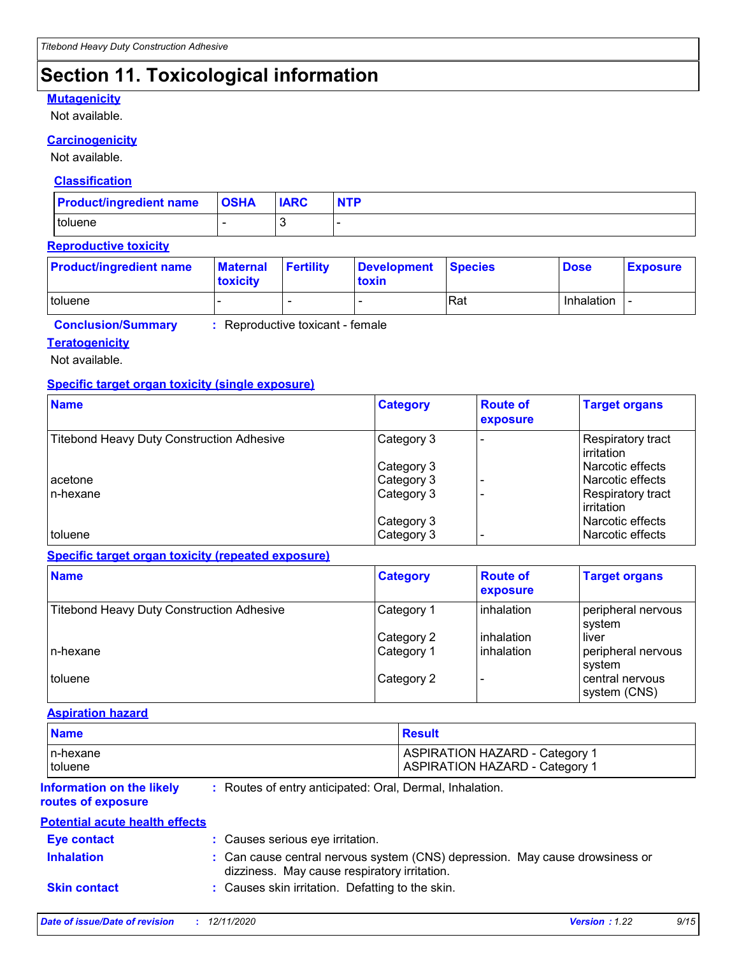# **Section 11. Toxicological information**

### **Mutagenicity**

Not available.

### **Carcinogenicity**

Not available.

### **Classification**

| <b>Product/ingredient name OSHA</b> | <b>IARC</b> | <b>NTP</b> |
|-------------------------------------|-------------|------------|
| toluene                             |             |            |

### **Reproductive toxicity**

| <b>Product/ingredient name</b> | <b>Maternal</b><br><b>Itoxicity</b> | <b>Fertility</b>         | Development Species<br>toxin |     | <b>Dose</b> | <b>Exposure</b> |
|--------------------------------|-------------------------------------|--------------------------|------------------------------|-----|-------------|-----------------|
| toluene                        |                                     | $\overline{\phantom{0}}$ |                              | Rat | Inhalation  |                 |

**Conclusion/Summary :** Reproductive toxicant - female

### **Teratogenicity**

Not available.

### **Specific target organ toxicity (single exposure)**

| <b>Name</b>                                      | <b>Category</b>          | <b>Route of</b><br>exposure | <b>Target organs</b>                 |
|--------------------------------------------------|--------------------------|-----------------------------|--------------------------------------|
| <b>Titebond Heavy Duty Construction Adhesive</b> | Category 3               |                             | Respiratory tract<br>irritation      |
|                                                  | Category 3               |                             | Narcotic effects                     |
| acetone                                          | Category 3               |                             | Narcotic effects                     |
| In-hexane                                        | Category 3               |                             | Respiratory tract<br>irritation      |
| toluene                                          | Category 3<br>Category 3 |                             | Narcotic effects<br>Narcotic effects |

### **Specific target organ toxicity (repeated exposure)**

| <b>Name</b>                                      | <b>Category</b> | <b>Route of</b><br>exposure | <b>Target organs</b>            |
|--------------------------------------------------|-----------------|-----------------------------|---------------------------------|
| <b>Titebond Heavy Duty Construction Adhesive</b> | Category 1      | <b>linhalation</b>          | peripheral nervous<br>system    |
|                                                  | Category 2      | inhalation                  | liver                           |
| In-hexane                                        | Category 1      | <b>linhalation</b>          | peripheral nervous<br>system    |
| toluene                                          | Category 2      |                             | central nervous<br>system (CNS) |

#### **Aspiration hazard**

| <b>Name</b> | Result                                |
|-------------|---------------------------------------|
| In-hexane   | <b>ASPIRATION HAZARD - Category 1</b> |
| toluene     | <b>ASPIRATION HAZARD - Category 1</b> |

#### **Information on the likely routes of exposure**

**:** Routes of entry anticipated: Oral, Dermal, Inhalation.

### **Potential acute health effects**

| <b>Eve contact</b>  | : Causes serious eye irritation.                                                                                             |
|---------------------|------------------------------------------------------------------------------------------------------------------------------|
| <b>Inhalation</b>   | : Can cause central nervous system (CNS) depression. May cause drowsiness or<br>dizziness. May cause respiratory irritation. |
| <b>Skin contact</b> | : Causes skin irritation. Defatting to the skin.                                                                             |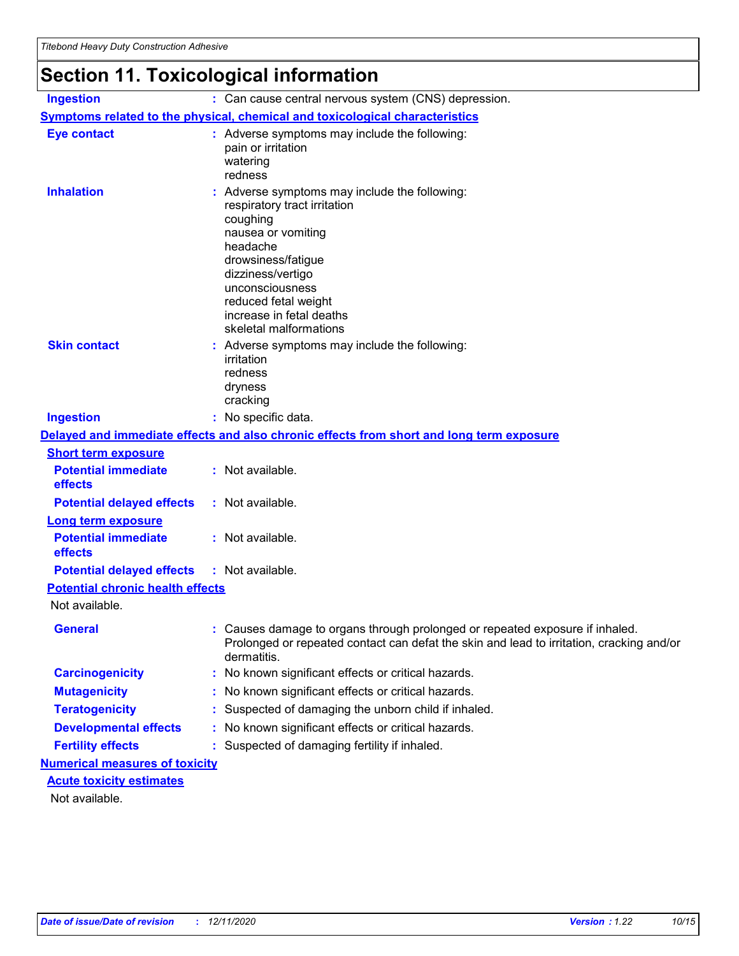# **Section 11. Toxicological information**

| <b>Ingestion</b>                        | : Can cause central nervous system (CNS) depression.                                                                                                                                                                                                                  |
|-----------------------------------------|-----------------------------------------------------------------------------------------------------------------------------------------------------------------------------------------------------------------------------------------------------------------------|
|                                         | <b>Symptoms related to the physical, chemical and toxicological characteristics</b>                                                                                                                                                                                   |
| <b>Eye contact</b>                      | : Adverse symptoms may include the following:<br>pain or irritation<br>watering<br>redness                                                                                                                                                                            |
| <b>Inhalation</b>                       | Adverse symptoms may include the following:<br>respiratory tract irritation<br>coughing<br>nausea or vomiting<br>headache<br>drowsiness/fatigue<br>dizziness/vertigo<br>unconsciousness<br>reduced fetal weight<br>increase in fetal deaths<br>skeletal malformations |
| <b>Skin contact</b>                     | : Adverse symptoms may include the following:<br>irritation<br>redness<br>dryness<br>cracking                                                                                                                                                                         |
| <b>Ingestion</b>                        | : No specific data.                                                                                                                                                                                                                                                   |
|                                         | Delayed and immediate effects and also chronic effects from short and long term exposure                                                                                                                                                                              |
| <b>Short term exposure</b>              |                                                                                                                                                                                                                                                                       |
| <b>Potential immediate</b><br>effects   | : Not available.                                                                                                                                                                                                                                                      |
| <b>Potential delayed effects</b>        | : Not available.                                                                                                                                                                                                                                                      |
| <b>Long term exposure</b>               |                                                                                                                                                                                                                                                                       |
| <b>Potential immediate</b><br>effects   | : Not available.                                                                                                                                                                                                                                                      |
| <b>Potential delayed effects</b>        | : Not available.                                                                                                                                                                                                                                                      |
| <b>Potential chronic health effects</b> |                                                                                                                                                                                                                                                                       |
| Not available.                          |                                                                                                                                                                                                                                                                       |
| <b>General</b>                          | : Causes damage to organs through prolonged or repeated exposure if inhaled.<br>Prolonged or repeated contact can defat the skin and lead to irritation, cracking and/or<br>dermatitis.                                                                               |
| <b>Carcinogenicity</b>                  | No known significant effects or critical hazards.                                                                                                                                                                                                                     |
| <b>Mutagenicity</b>                     | No known significant effects or critical hazards.                                                                                                                                                                                                                     |
| <b>Teratogenicity</b>                   | Suspected of damaging the unborn child if inhaled.                                                                                                                                                                                                                    |
| <b>Developmental effects</b>            | No known significant effects or critical hazards.                                                                                                                                                                                                                     |
| <b>Fertility effects</b>                | Suspected of damaging fertility if inhaled.                                                                                                                                                                                                                           |
| <b>Numerical measures of toxicity</b>   |                                                                                                                                                                                                                                                                       |
| <b>Acute toxicity estimates</b>         |                                                                                                                                                                                                                                                                       |
| Not available.                          |                                                                                                                                                                                                                                                                       |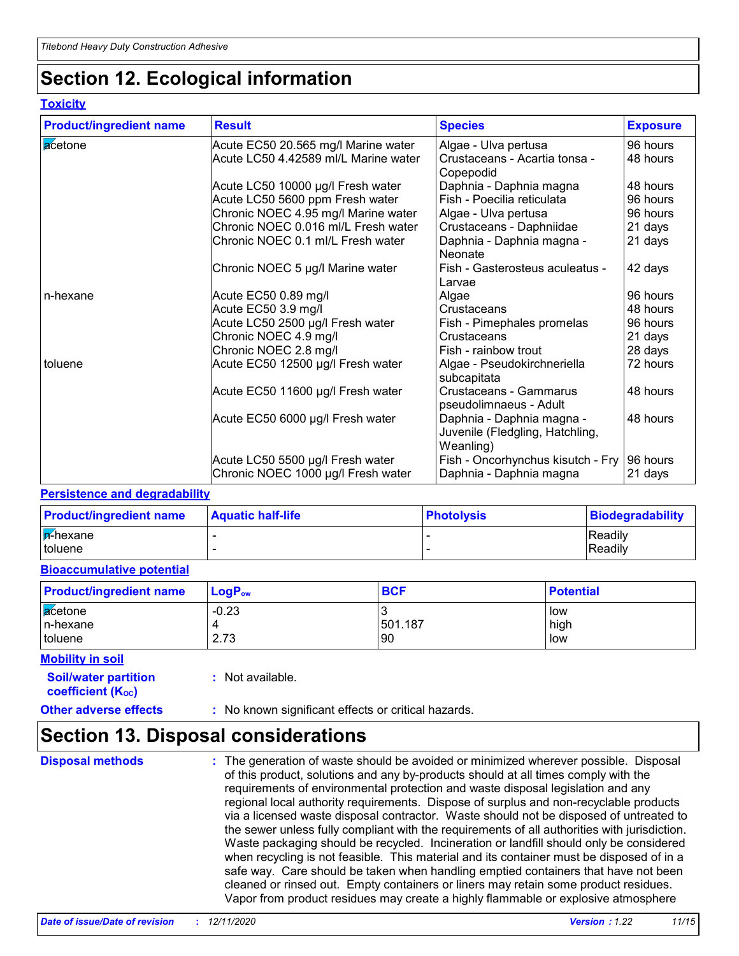# **Section 12. Ecological information**

### **Toxicity**

| <b>Product/ingredient name</b> | <b>Result</b>                        | <b>Species</b>                                                            | <b>Exposure</b> |
|--------------------------------|--------------------------------------|---------------------------------------------------------------------------|-----------------|
| acetone                        | Acute EC50 20.565 mg/l Marine water  | Algae - Ulva pertusa                                                      | 96 hours        |
|                                | Acute LC50 4.42589 ml/L Marine water | Crustaceans - Acartia tonsa -<br>Copepodid                                | 48 hours        |
|                                | Acute LC50 10000 µg/l Fresh water    | Daphnia - Daphnia magna                                                   | 48 hours        |
|                                | Acute LC50 5600 ppm Fresh water      | Fish - Poecilia reticulata                                                | 96 hours        |
|                                | Chronic NOEC 4.95 mg/l Marine water  | Algae - Ulva pertusa                                                      | 96 hours        |
|                                | Chronic NOEC 0.016 ml/L Fresh water  | Crustaceans - Daphniidae                                                  | 21 days         |
|                                | Chronic NOEC 0.1 ml/L Fresh water    | Daphnia - Daphnia magna -<br>Neonate                                      | 21 days         |
|                                | Chronic NOEC 5 µg/l Marine water     | Fish - Gasterosteus aculeatus -<br>Larvae                                 | 42 days         |
| n-hexane                       | Acute EC50 0.89 mg/l                 | Algae                                                                     | 96 hours        |
|                                | Acute EC50 3.9 mg/l                  | Crustaceans                                                               | 48 hours        |
|                                | Acute LC50 2500 µg/l Fresh water     | Fish - Pimephales promelas                                                | 96 hours        |
|                                | Chronic NOEC 4.9 mg/l                | Crustaceans                                                               | 21 days         |
|                                | Chronic NOEC 2.8 mg/l                | Fish - rainbow trout                                                      | 28 days         |
| toluene                        | Acute EC50 12500 µg/l Fresh water    | Algae - Pseudokirchneriella<br>subcapitata                                | 72 hours        |
|                                | Acute EC50 11600 µg/l Fresh water    | Crustaceans - Gammarus<br>pseudolimnaeus - Adult                          | 48 hours        |
|                                | Acute EC50 6000 µg/l Fresh water     | Daphnia - Daphnia magna -<br>Juvenile (Fledgling, Hatchling,<br>Weanling) | 48 hours        |
|                                | Acute LC50 5500 µg/l Fresh water     | Fish - Oncorhynchus kisutch - Fry                                         | 96 hours        |
|                                | Chronic NOEC 1000 µg/l Fresh water   | Daphnia - Daphnia magna                                                   | 21 days         |

### **Persistence and degradability**

| <b>Product/ingredient name</b> | <b>Aquatic half-life</b> | <b>Photolysis</b> | Biodegradability |
|--------------------------------|--------------------------|-------------------|------------------|
| <b>A-hexane</b>                |                          |                   | Readily          |
| I toluene                      |                          |                   | Readily          |

### **Bioaccumulative potential**

| <b>Product/ingredient name</b> | $LogP_{ow}$ | <b>BCF</b> | <b>Potential</b> |
|--------------------------------|-------------|------------|------------------|
| acetone                        | $-0.23$     |            | low              |
| In-hexane                      |             | 501.187    | high             |
| toluene                        | 2.73        | <b>90</b>  | low              |

### **Mobility in soil**

**:** Not available.

# **coefficient (KOC)**

**Soil/water partition** 

### **Other adverse effects** : No known significant effects or critical hazards.

## **Section 13. Disposal considerations**

**Disposal methods :**

The generation of waste should be avoided or minimized wherever possible. Disposal of this product, solutions and any by-products should at all times comply with the requirements of environmental protection and waste disposal legislation and any regional local authority requirements. Dispose of surplus and non-recyclable products via a licensed waste disposal contractor. Waste should not be disposed of untreated to the sewer unless fully compliant with the requirements of all authorities with jurisdiction. Waste packaging should be recycled. Incineration or landfill should only be considered when recycling is not feasible. This material and its container must be disposed of in a safe way. Care should be taken when handling emptied containers that have not been cleaned or rinsed out. Empty containers or liners may retain some product residues. Vapor from product residues may create a highly flammable or explosive atmosphere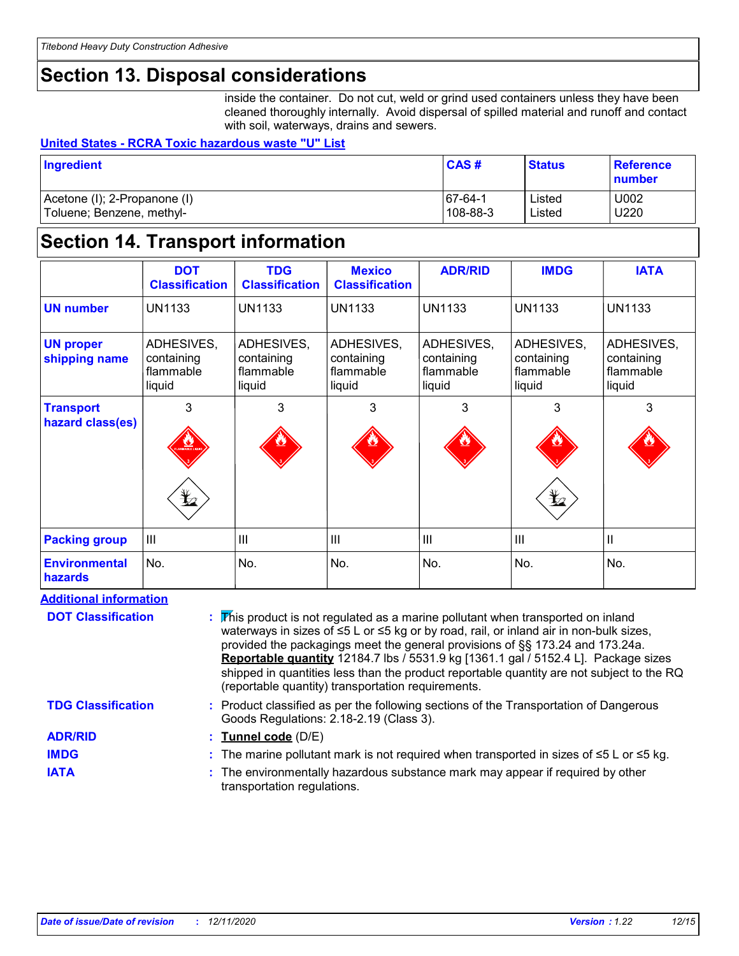## **Section 13. Disposal considerations**

inside the container. Do not cut, weld or grind used containers unless they have been cleaned thoroughly internally. Avoid dispersal of spilled material and runoff and contact with soil, waterways, drains and sewers.

### **United States - RCRA Toxic hazardous waste "U" List**

| Ingredient                   | CAS#      | <b>Status</b> | <b>Reference</b><br>number |
|------------------------------|-----------|---------------|----------------------------|
| Acetone (I); 2-Propanone (I) | $67-64-1$ | Listed        | U002                       |
| Toluene; Benzene, methyl-    | 108-88-3  | Listed        | U220                       |

## **Section 14. Transport information**

|                                      | <b>DOT</b><br><b>Classification</b>             | <b>TDG</b><br><b>Classification</b>             | <b>Mexico</b><br><b>Classification</b>          | <b>ADR/RID</b>                                  | <b>IMDG</b>                                     | <b>IATA</b>                                     |
|--------------------------------------|-------------------------------------------------|-------------------------------------------------|-------------------------------------------------|-------------------------------------------------|-------------------------------------------------|-------------------------------------------------|
| <b>UN number</b>                     | <b>UN1133</b>                                   | <b>UN1133</b>                                   | <b>UN1133</b>                                   | <b>UN1133</b>                                   | <b>UN1133</b>                                   | <b>UN1133</b>                                   |
| <b>UN proper</b><br>shipping name    | ADHESIVES,<br>containing<br>flammable<br>liquid | ADHESIVES,<br>containing<br>flammable<br>liquid | ADHESIVES,<br>containing<br>flammable<br>liquid | ADHESIVES,<br>containing<br>flammable<br>liquid | ADHESIVES,<br>containing<br>flammable<br>liquid | ADHESIVES,<br>containing<br>flammable<br>liquid |
| <b>Transport</b><br>hazard class(es) | 3<br>$\sum_{\text{max}}$<br>$\bigstar$          | 3                                               | 3                                               | 3                                               | 3<br>$\bigstar$                                 | 3                                               |
| <b>Packing group</b>                 | $\mathbf{III}$                                  | $\overline{\mathsf{III}}$                       | $\mathbf{III}$                                  | III                                             | $\overline{\mathsf{III}}$                       | Ш                                               |
| <b>Environmental</b><br>hazards      | No.                                             | No.                                             | No.                                             | No.                                             | No.                                             | No.                                             |

### **Additional information**

**DOT Classification**

**This product is not regulated as a marine pollutant when transported on inland in** waterways in sizes of ≤5 L or ≤5 kg or by road, rail, or inland air in non-bulk sizes, provided the packagings meet the general provisions of §§ 173.24 and 173.24a. **Reportable quantity** 12184.7 lbs / 5531.9 kg [1361.1 gal / 5152.4 L]. Package sizes shipped in quantities less than the product reportable quantity are not subject to the RQ (reportable quantity) transportation requirements.

Product classified as per the following sections of the Transportation of Dangerous **:**

### **TDG Classification**

**ADR/RID**

**IMDG IATA**

**Tunnel code** (D/E) **:**

Goods Regulations: 2.18-2.19 (Class 3).

- The marine pollutant mark is not required when transported in sizes of ≤5 L or ≤5 kg. **:**
- The environmentally hazardous substance mark may appear if required by other **:** transportation regulations.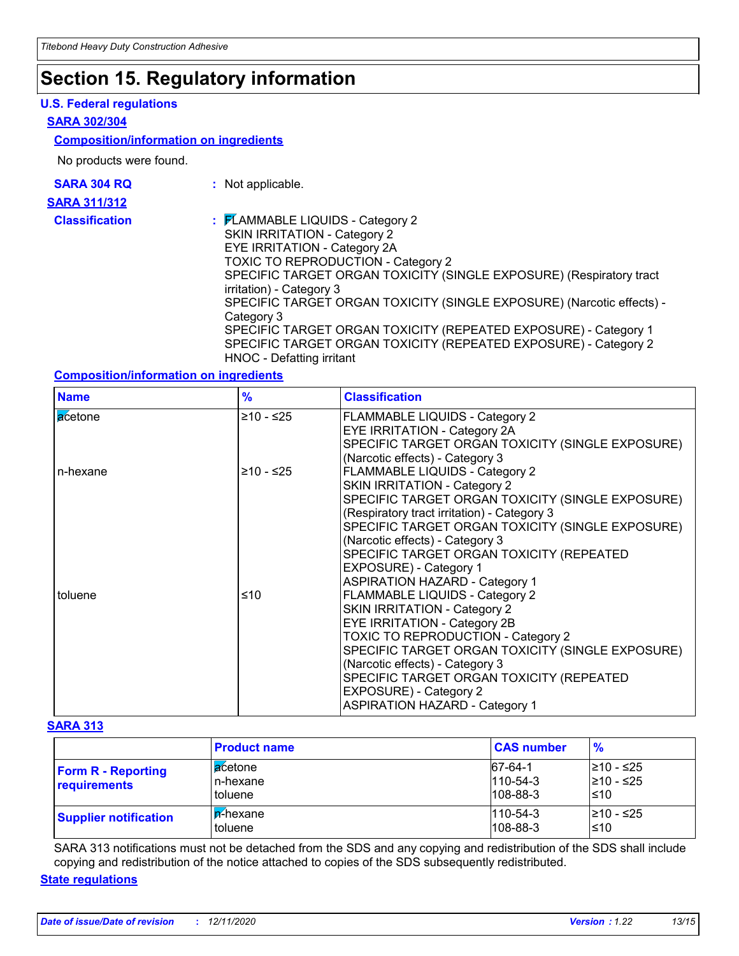# **Section 15. Regulatory information**

### **U.S. Federal regulations**

### **SARA 302/304**

### **Composition/information on ingredients**

No products were found.

| <b>SARA 304 RQ</b>        |  |
|---------------------------|--|
| SARA 311/312              |  |
| Alexandria and a contract |  |

- **:** Not applicable.
- **Classification :** FLAMMABLE LIQUIDS Category 2 SKIN IRRITATION - Category 2 EYE IRRITATION - Category 2A TOXIC TO REPRODUCTION - Category 2 SPECIFIC TARGET ORGAN TOXICITY (SINGLE EXPOSURE) (Respiratory tract irritation) - Category 3 SPECIFIC TARGET ORGAN TOXICITY (SINGLE EXPOSURE) (Narcotic effects) - Category 3 SPECIFIC TARGET ORGAN TOXICITY (REPEATED EXPOSURE) - Category 1 SPECIFIC TARGET ORGAN TOXICITY (REPEATED EXPOSURE) - Category 2 HNOC - Defatting irritant

### **Composition/information on ingredients**

| <b>Name</b> | $\frac{9}{6}$ | <b>Classification</b>                                                                                                                                                                                                                                                                                                                                                          |
|-------------|---------------|--------------------------------------------------------------------------------------------------------------------------------------------------------------------------------------------------------------------------------------------------------------------------------------------------------------------------------------------------------------------------------|
| acetone     | ≥10 - ≤25     | FLAMMABLE LIQUIDS - Category 2<br>EYE IRRITATION - Category 2A<br>SPECIFIC TARGET ORGAN TOXICITY (SINGLE EXPOSURE)<br>(Narcotic effects) - Category 3                                                                                                                                                                                                                          |
| n-hexane    | $≥10 - ≤25$   | FLAMMABLE LIQUIDS - Category 2<br><b>SKIN IRRITATION - Category 2</b><br>SPECIFIC TARGET ORGAN TOXICITY (SINGLE EXPOSURE)<br>(Respiratory tract irritation) - Category 3<br>SPECIFIC TARGET ORGAN TOXICITY (SINGLE EXPOSURE)<br>(Narcotic effects) - Category 3<br>SPECIFIC TARGET ORGAN TOXICITY (REPEATED<br>EXPOSURE) - Category 1<br><b>ASPIRATION HAZARD - Category 1</b> |
| toluene     | ≤10           | FLAMMABLE LIQUIDS - Category 2<br><b>SKIN IRRITATION - Category 2</b><br>EYE IRRITATION - Category 2B<br>TOXIC TO REPRODUCTION - Category 2<br>SPECIFIC TARGET ORGAN TOXICITY (SINGLE EXPOSURE)<br>(Narcotic effects) - Category 3<br>SPECIFIC TARGET ORGAN TOXICITY (REPEATED<br>EXPOSURE) - Category 2<br><b>ASPIRATION HAZARD - Category 1</b>                              |

### **SARA 313**

|                                           | <b>Product name</b>               | <b>CAS number</b>                           | $\frac{9}{6}$                   |
|-------------------------------------------|-----------------------------------|---------------------------------------------|---------------------------------|
| <b>Form R - Reporting</b><br>requirements | l acetone<br>In-hexane<br>toluene | 67-64-1<br>$110 - 54 - 3$<br>$108 - 88 - 3$ | l≥10 - ≤25<br>210 - ≤25<br>l≤10 |
| <b>Supplier notification</b>              | I <b>n</b> -hexane<br>l toluene   | $110 - 54 - 3$<br>$108 - 88 - 3$            | l≥10 - ≤25<br>l≤10              |

SARA 313 notifications must not be detached from the SDS and any copying and redistribution of the SDS shall include copying and redistribution of the notice attached to copies of the SDS subsequently redistributed.

### **State regulations**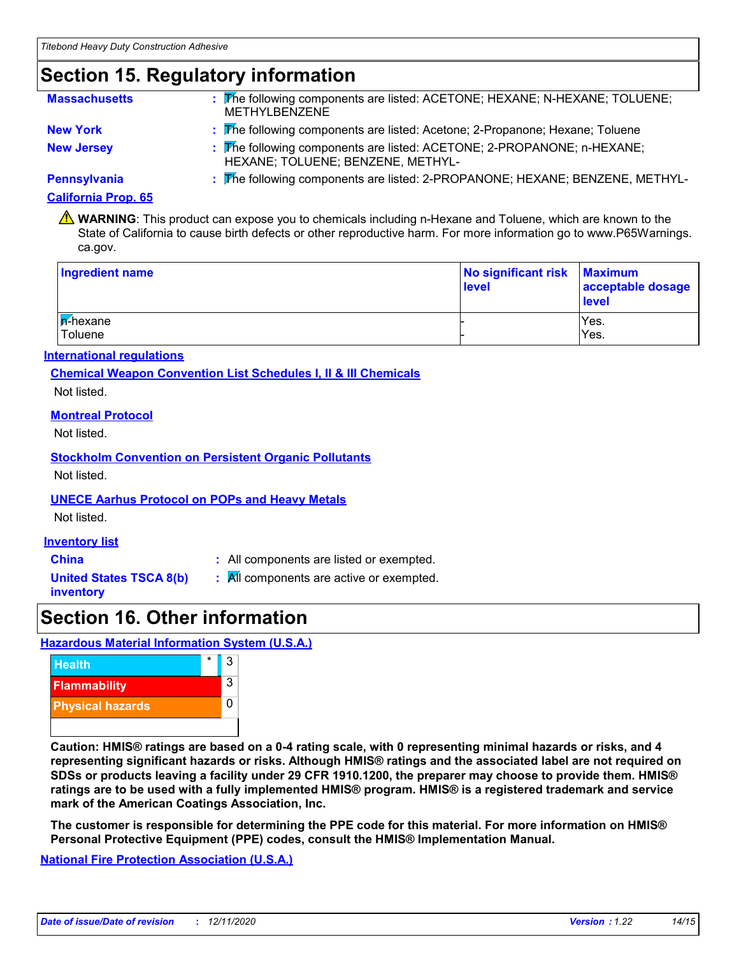# **Section 15. Regulatory information**

| <b>Massachusetts</b> | : The following components are listed: ACETONE; HEXANE; N-HEXANE; TOLUENE;<br><b>METHYLBENZENE</b>          |
|----------------------|-------------------------------------------------------------------------------------------------------------|
| <b>New York</b>      | : The following components are listed: Acetone; 2-Propanone; Hexane; Toluene                                |
| <b>New Jersey</b>    | : The following components are listed: ACETONE; 2-PROPANONE; n-HEXANE;<br>HEXANE; TOLUENE; BENZENE, METHYL- |
| <b>Pennsylvania</b>  | : The following components are listed: 2-PROPANONE; HEXANE; BENZENE, METHYL-                                |

### **California Prop. 65**

WARNING: This product can expose you to chemicals including n-Hexane and Toluene, which are known to the State of California to cause birth defects or other reproductive harm. For more information go to www.P65Warnings. ca.gov.

| <b>Ingredient name</b>             | No significant risk Maximum<br>level | acceptable dosage<br>level |
|------------------------------------|--------------------------------------|----------------------------|
| <b>F</b> -hexane<br><b>Toluene</b> |                                      | Yes.<br>Yes.               |

### **International regulations**

**Chemical Weapon Convention List Schedules I, II & III Chemicals**

Not listed.

### **Montreal Protocol**

Not listed.

### **Stockholm Convention on Persistent Organic Pollutants**

Not listed.

### **UNECE Aarhus Protocol on POPs and Heavy Metals**

Not listed.

### **Inventory list**

**China :** All components are listed or exempted.

**United States TSCA 8(b) inventory**

**:** All components are active or exempted.

## **Section 16. Other information**

### **Hazardous Material Information System (U.S.A.)**



**Caution: HMIS® ratings are based on a 0-4 rating scale, with 0 representing minimal hazards or risks, and 4 representing significant hazards or risks. Although HMIS® ratings and the associated label are not required on SDSs or products leaving a facility under 29 CFR 1910.1200, the preparer may choose to provide them. HMIS® ratings are to be used with a fully implemented HMIS® program. HMIS® is a registered trademark and service mark of the American Coatings Association, Inc.**

**The customer is responsible for determining the PPE code for this material. For more information on HMIS® Personal Protective Equipment (PPE) codes, consult the HMIS® Implementation Manual.**

**National Fire Protection Association (U.S.A.)**